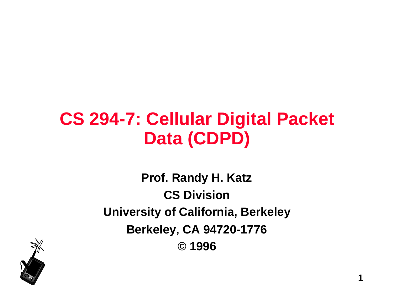# **CS 294-7: Cellular Digital Packet Data (CDPD)**

**Prof. Randy H. Katz CS Division University of California, Berkeley Berkeley, CA 94720-1776 © 1996**

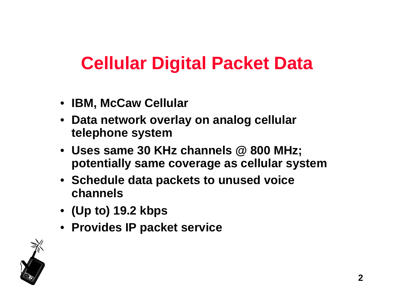# **Cellular Digital Packet Data**

- **IBM, McCaw Cellular**
- **Data network overlay on analog cellular telephone system**
- **Uses same 30 KHz channels @ 800 MHz; potentially same coverage as cellular system**
- **Schedule data packets to unused voice channels**
- **(Up to) 19.2 kbps**
- **Provides IP packet service**

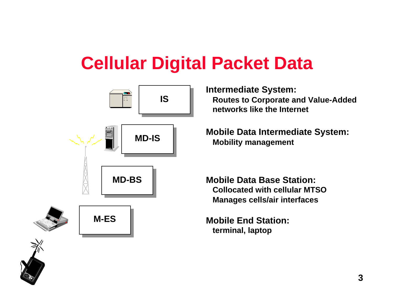# **Cellular Digital Packet Data**



**Intermediate System: Routes to Corporate and Value-Added networks like the Internet**

**Mobile Data Intermediate System: Mobility management**

**Mobile Data Base Station: Collocated with cellular MTSO Manages cells/air interfaces**

**Mobile End Station: terminal, laptop**

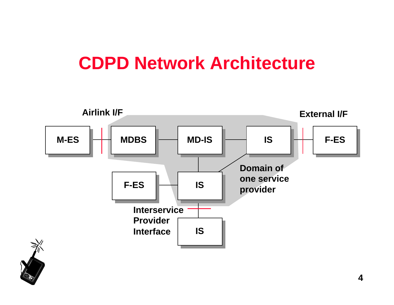### **CDPD Network Architecture**



**4**

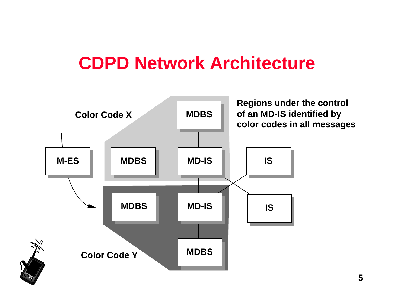### **CDPD Network Architecture**

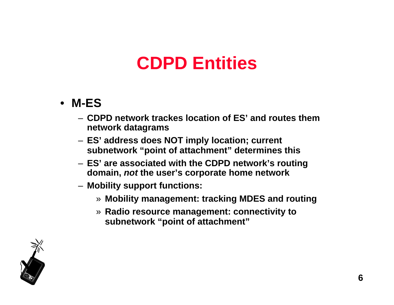- **M-ES**
	- **CDPD network trackes location of ES' and routes them network datagrams**
	- **ES' address does NOT imply location; current subnetwork "point of attachment" determines this**
	- **ES' are associated with the CDPD network's routing domain, not the user's corporate home network**
	- **Mobility support functions:**
		- » **Mobility management: tracking MDES and routing**
		- » **Radio resource management: connectivity to subnetwork "point of attachment"**

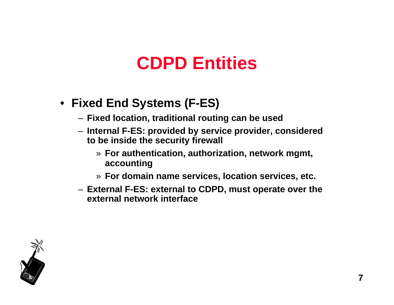### • **Fixed End Systems (F-ES)**

- **Fixed location, traditional routing can be used**
- **Internal F-ES: provided by service provider, considered to be inside the security firewall**
	- » **For authentication, authorization, network mgmt, accounting**
	- » **For domain name services, location services, etc.**
- **External F-ES: external to CDPD, must operate over the external network interface**

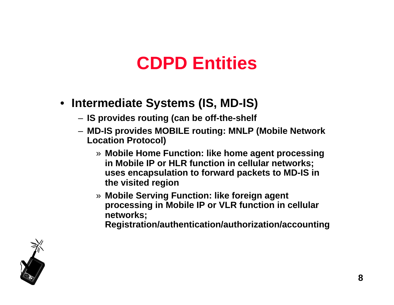- **Intermediate Systems (IS, MD-IS)**
	- **IS provides routing (can be off-the-shelf**
	- **MD-IS provides MOBILE routing: MNLP (Mobile Network Location Protocol)**
		- » **Mobile Home Function: like home agent processing in Mobile IP or HLR function in cellular networks; uses encapsulation to forward packets to MD-IS in the visited region**
		- » **Mobile Serving Function: like foreign agent processing in Mobile IP or VLR function in cellular networks;**

**Registration/authentication/authorization/accounting**

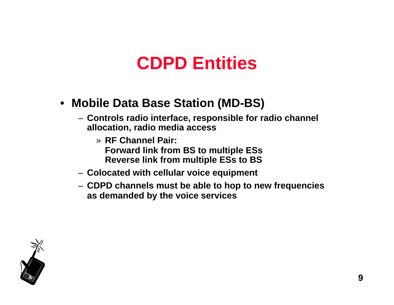#### • **Mobile Data Base Station (MD-BS)**

- **Controls radio interface, responsible for radio channel allocation, radio media access**
	- » **RF Channel Pair: Forward link from BS to multiple ESs Reverse link from multiple ESs to BS**
- **Colocated with cellular voice equipment**
- **CDPD channels must be able to hop to new frequencies as demanded by the voice services**

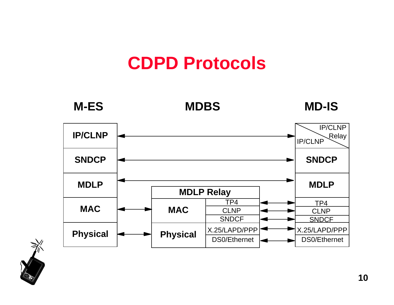

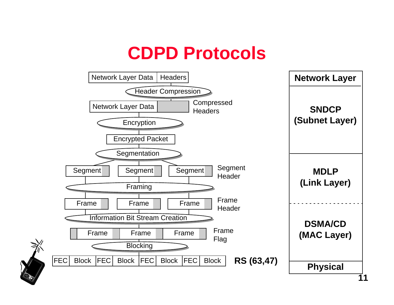

**11**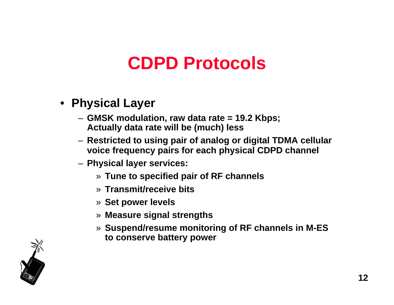- **Physical Layer**
	- **GMSK modulation, raw data rate = 19.2 Kbps; Actually data rate will be (much) less**
	- **Restricted to using pair of analog or digital TDMA cellular voice frequency pairs for each physical CDPD channel**
	- **Physical layer services:**
		- » **Tune to specified pair of RF channels**
		- » **Transmit/receive bits**
		- » **Set power levels**
		- » **Measure signal strengths**
		- » **Suspend/resume monitoring of RF channels in M-ES to conserve battery power**

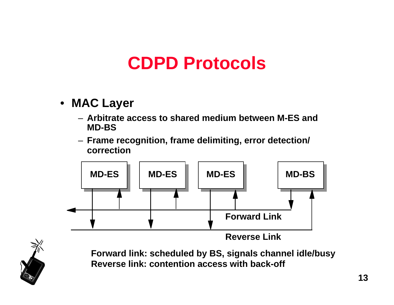- **MAC Layer**
	- **Arbitrate access to shared medium between M-ES and MD-BS**
	- **Frame recognition, frame delimiting, error detection/ correction**





**Forward link: scheduled by BS, signals channel idle/busy Reverse link: contention access with back-off**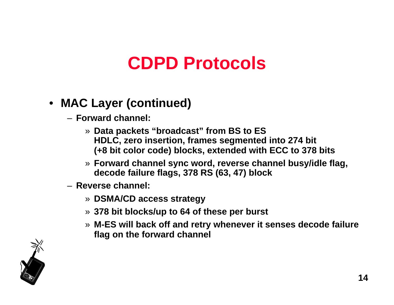### • **MAC Layer (continued)**

- **Forward channel:**
	- » **Data packets "broadcast" from BS to ES HDLC, zero insertion, frames segmented into 274 bit (+8 bit color code) blocks, extended with ECC to 378 bits**
	- » **Forward channel sync word, reverse channel busy/idle flag, decode failure flags, 378 RS (63, 47) block**
- **Reverse channel:**
	- » **DSMA/CD access strategy**
	- » **378 bit blocks/up to 64 of these per burst**
	- » **M-ES will back off and retry whenever it senses decode failure flag on the forward channel**

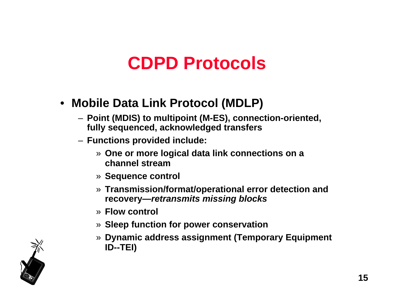#### • **Mobile Data Link Protocol (MDLP)**

- **Point (MDIS) to multipoint (M-ES), connection-oriented, fully sequenced, acknowledged transfers**
- **Functions provided include:**
	- » **One or more logical data link connections on a channel stream**
	- » **Sequence control**
	- » **Transmission/format/operational error detection and recovery—retransmits missing blocks**
	- » **Flow control**
	- » **Sleep function for power conservation**
	- » **Dynamic address assignment (Temporary Equipment ID--TEI)**

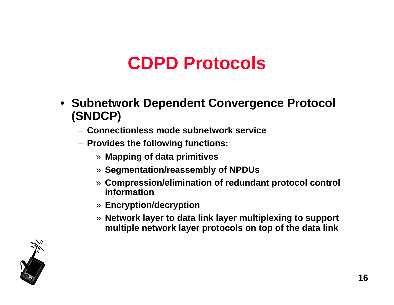- **Subnetwork Dependent Convergence Protocol (SNDCP)**
	- **Connectionless mode subnetwork service**
	- **Provides the following functions:**
		- » **Mapping of data primitives**
		- » **Segmentation/reassembly of NPDUs**
		- » **Compression/elimination of redundant protocol control information**
		- » **Encryption/decryption**
		- » **Network layer to data link layer multiplexing to support multiple network layer protocols on top of the data link**

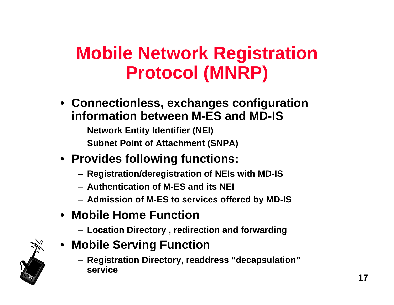# **Mobile Network Registration Protocol (MNRP)**

- **Connectionless, exchanges configuration information between M-ES and MD-IS**
	- **Network Entity Identifier (NEI)**
	- **Subnet Point of Attachment (SNPA)**
- **Provides following functions:**
	- **Registration/deregistration of NEIs with MD-IS**
	- **Authentication of M-ES and its NEI**
	- **Admission of M-ES to services offered by MD-IS**
- **Mobile Home Function**
	- **Location Directory , redirection and forwarding**
- **Mobile Serving Function**
	- **Registration Directory, readdress "decapsulation" service**

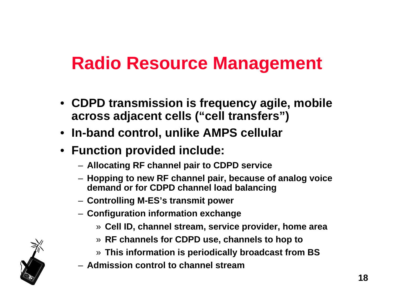### **Radio Resource Management**

- **CDPD transmission is frequency agile, mobile across adjacent cells ("cell transfers")**
- **In-band control, unlike AMPS cellular**
- **Function provided include:**
	- **Allocating RF channel pair to CDPD service**
	- **Hopping to new RF channel pair, because of analog voice demand or for CDPD channel load balancing**
	- **Controlling M-ES's transmit power**
	- **Configuration information exchange**
		- » **Cell ID, channel stream, service provider, home area**
		- » **RF channels for CDPD use, channels to hop to**
		- » **This information is periodically broadcast from BS**
	- **Admission control to channel stream**

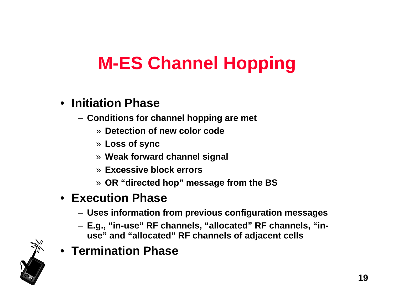# **M-ES Channel Hopping**

- **Initiation Phase**
	- **Conditions for channel hopping are met**
		- » **Detection of new color code**
		- » **Loss of sync**
		- » **Weak forward channel signal**
		- » **Excessive block errors**
		- » **OR "directed hop" message from the BS**

### • **Execution Phase**

- **Uses information from previous configuration messages**
- **E.g., "in-use" RF channels, "allocated" RF channels, "inuse" and "allocated" RF channels of adjacent cells**
- **Termination Phase**

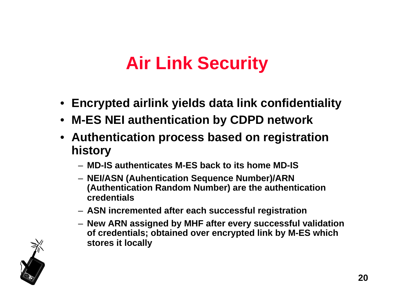# **Air Link Security**

- **Encrypted airlink yields data link confidentiality**
- **M-ES NEI authentication by CDPD network**
- **Authentication process based on registration history**
	- **MD-IS authenticates M-ES back to its home MD-IS**
	- **NEI/ASN (Auhentication Sequence Number)/ARN (Authentication Random Number) are the authentication credentials**
	- **ASN incremented after each successful registration**
	- **New ARN assigned by MHF after every successful validation of credentials; obtained over encrypted link by M-ES which stores it locally**

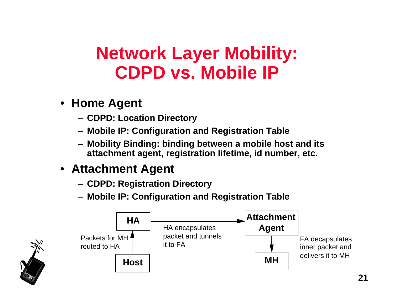### • **Home Agent**

- **CDPD: Location Directory**
- **Mobile IP: Configuration and Registration Table**
- **Mobility Binding: binding between a mobile host and its attachment agent, registration lifetime, id number, etc.**

### • **Attachment Agent**

- **CDPD: Registration Directory**
- **Mobile IP: Configuration and Registration Table**



**21**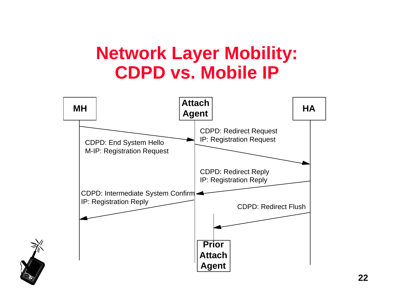

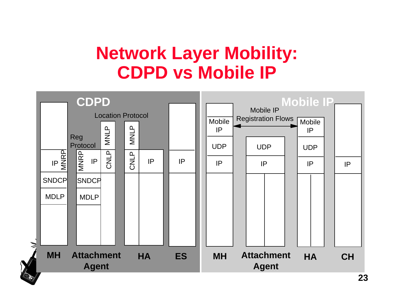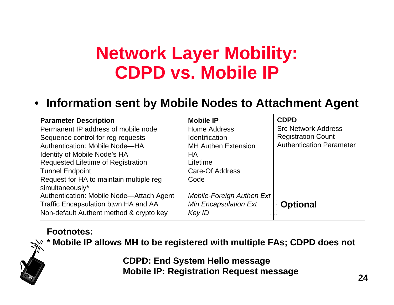#### • **Information sent by Mobile Nodes to Attachment Agent**

| <b>Parameter Description</b>              | <b>Mobile IP</b>             | <b>CDPD</b>                     |
|-------------------------------------------|------------------------------|---------------------------------|
| Permanent IP address of mobile node       | Home Address                 | <b>Src Network Address</b>      |
| Sequence control for reg requests         | <b>Identification</b>        | <b>Registration Count</b>       |
| <b>Authentication: Mobile Node-HA</b>     | <b>MH Authen Extension</b>   | <b>Authentication Parameter</b> |
| <b>Identity of Mobile Node's HA</b>       | НA                           |                                 |
| <b>Requested Lifetime of Registration</b> | Lifetime                     |                                 |
| <b>Tunnel Endpoint</b>                    | Care-Of Address              |                                 |
| Request for HA to maintain multiple reg   | Code                         |                                 |
| simultaneously*                           |                              |                                 |
| Authentication: Mobile Node-Attach Agent  | Mobile-Foreign Authen Ext    |                                 |
| Traffic Encapsulation btwn HA and AA      | <b>Min Encapsulation Ext</b> | <b>Optional</b>                 |
| Non-default Authent method & crypto key   | Key ID                       |                                 |

#### **Footnotes:**



**\* Mobile IP allows MH to be registered with multiple FAs; CDPD does not**

**CDPD: End System Hello message Mobile IP: Registration Request message**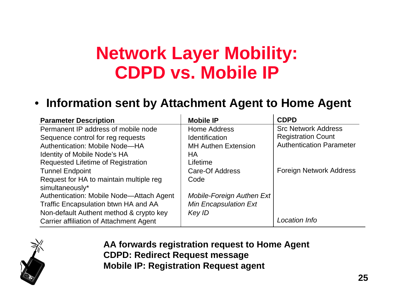#### • **Information sent by Attachment Agent to Home Agent**

| <b>Parameter Description</b>             | <b>Mobile IP</b>             | <b>CDPD</b>                     |
|------------------------------------------|------------------------------|---------------------------------|
| Permanent IP address of mobile node      | <b>Home Address</b>          | <b>Src Network Address</b>      |
| Sequence control for reg requests        | <b>Identification</b>        | <b>Registration Count</b>       |
| Authentication: Mobile Node-HA           | <b>MH Authen Extension</b>   | <b>Authentication Parameter</b> |
| <b>Identity of Mobile Node's HA</b>      | НA                           |                                 |
| Requested Lifetime of Registration       | Lifetime                     |                                 |
| <b>Tunnel Endpoint</b>                   | Care-Of Address              | <b>Foreign Network Address</b>  |
| Request for HA to maintain multiple reg  | Code                         |                                 |
| simultaneously*                          |                              |                                 |
| Authentication: Mobile Node-Attach Agent | Mobile-Foreign Authen Ext    |                                 |
| Traffic Encapsulation btwn HA and AA     | <b>Min Encapsulation Ext</b> |                                 |
| Non-default Authent method & crypto key  | Key ID                       |                                 |
| Carrier affiliation of Attachment Agent  |                              | Location Info                   |



**AA forwards registration request to Home Agent CDPD: Redirect Request message Mobile IP: Registration Request agent**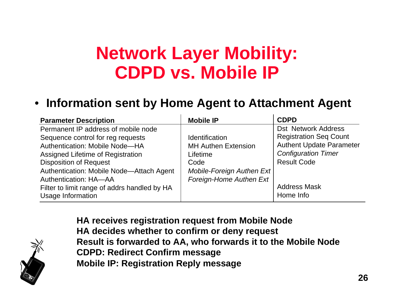#### • **Information sent by Home Agent to Attachment Agent**

| <b>Parameter Description</b>                 | <b>Mobile IP</b>           | <b>CDPD</b>                     |
|----------------------------------------------|----------------------------|---------------------------------|
| Permanent IP address of mobile node          |                            | <b>Dst Network Address</b>      |
| Sequence control for reg requests            | <b>Identification</b>      | <b>Registration Seq Count</b>   |
| <b>Authentication: Mobile Node-HA</b>        | <b>MH Authen Extension</b> | <b>Authent Update Parameter</b> |
| Assigned Lifetime of Registration            | Lifetime                   | <b>Configuration Timer</b>      |
| <b>Disposition of Request</b>                | Code                       | <b>Result Code</b>              |
| Authentication: Mobile Node-Attach Agent     | Mobile-Foreign Authen Ext  |                                 |
| <b>Authentication: HA-AA</b>                 | Foreign-Home Authen Ext    |                                 |
| Filter to limit range of addrs handled by HA |                            | <b>Address Mask</b>             |
| <b>Usage Information</b>                     |                            | Home Info                       |



**HA receives registration request from Mobile Node HA decides whether to confirm or deny request Result is forwarded to AA, who forwards it to the Mobile Node CDPD: Redirect Confirm message Mobile IP: Registration Reply message**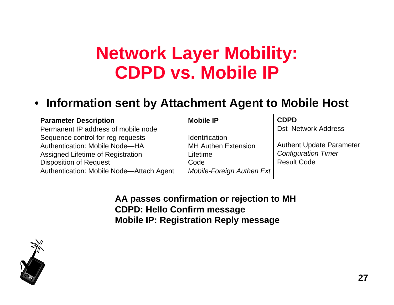#### • **Information sent by Attachment Agent to Mobile Host**

| <b>Parameter Description</b>             | <b>Mobile IP</b>           | <b>CDPD</b>                     |
|------------------------------------------|----------------------------|---------------------------------|
| Permanent IP address of mobile node      |                            | <b>Dst Network Address</b>      |
| Sequence control for reg requests        | <b>Identification</b>      |                                 |
| <b>Authentication: Mobile Node-HA</b>    | <b>MH Authen Extension</b> | <b>Authent Update Parameter</b> |
| Assigned Lifetime of Registration        | Lifetime                   | <b>Configuration Timer</b>      |
| <b>Disposition of Request</b>            | Code                       | <b>Result Code</b>              |
| Authentication: Mobile Node-Attach Agent | Mobile-Foreign Authen Ext  |                                 |

**AA passes confirmation or rejection to MH CDPD: Hello Confirm message Mobile IP: Registration Reply message**